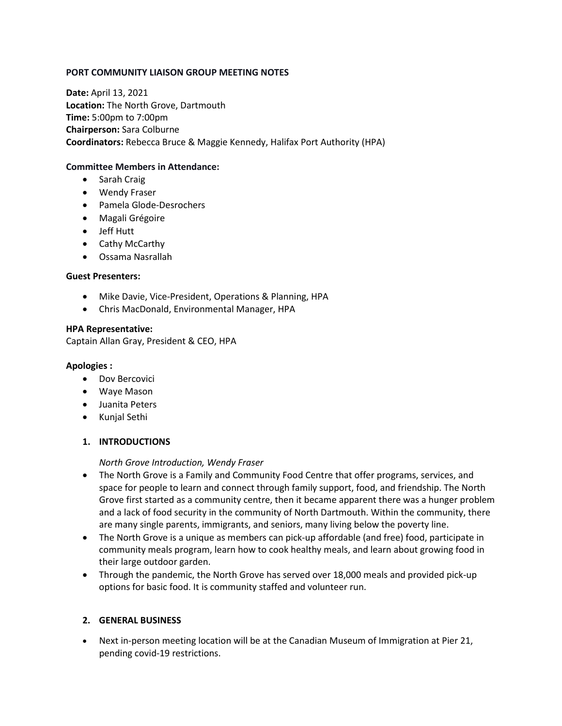### **PORT COMMUNITY LIAISON GROUP MEETING NOTES**

**Date:** April 13, 2021 **Location:** The North Grove, Dartmouth **Time:** 5:00pm to 7:00pm **Chairperson:** Sara Colburne **Coordinators:** Rebecca Bruce & Maggie Kennedy, Halifax Port Authority (HPA)

#### **Committee Members in Attendance:**

- Sarah Craig
- Wendy Fraser
- Pamela Glode-Desrochers
- Magali Grégoire
- Jeff Hutt
- Cathy McCarthy
- Ossama Nasrallah

### **Guest Presenters:**

- Mike Davie, Vice-President, Operations & Planning, HPA
- Chris MacDonald, Environmental Manager, HPA

#### **HPA Representative:**

Captain Allan Gray, President & CEO, HPA

#### **Apologies :**

- Dov Bercovici
- Waye Mason
- Juanita Peters
- Kunjal Sethi

### **1. INTRODUCTIONS**

*North Grove Introduction, Wendy Fraser*

- The North Grove is a Family and Community Food Centre that offer programs, services, and space for people to learn and connect through family support, food, and friendship. The North Grove first started as a community centre, then it became apparent there was a hunger problem and a lack of food security in the community of North Dartmouth. Within the community, there are many single parents, immigrants, and seniors, many living below the poverty line.
- The North Grove is a unique as members can pick-up affordable (and free) food, participate in community meals program, learn how to cook healthy meals, and learn about growing food in their large outdoor garden.
- Through the pandemic, the North Grove has served over 18,000 meals and provided pick-up options for basic food. It is community staffed and volunteer run.

### **2. GENERAL BUSINESS**

• Next in-person meeting location will be at the Canadian Museum of Immigration at Pier 21, pending covid-19 restrictions.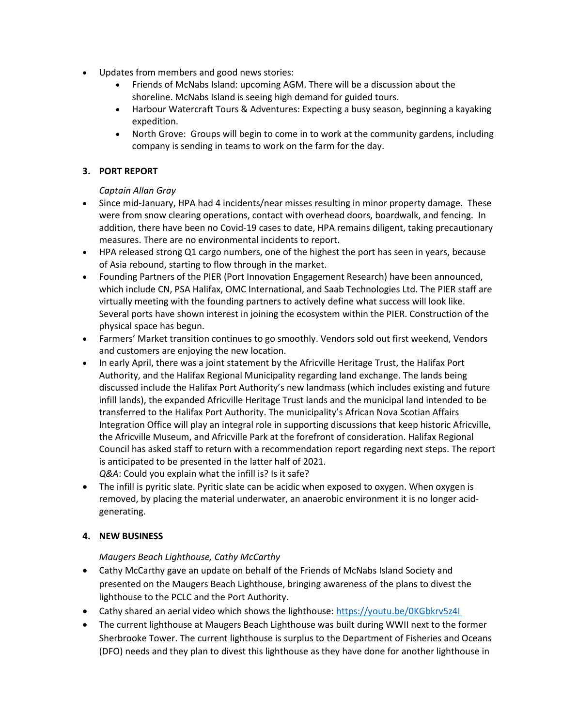- Updates from members and good news stories:
	- Friends of McNabs Island: upcoming AGM. There will be a discussion about the shoreline. McNabs Island is seeing high demand for guided tours.
	- Harbour Watercraft Tours & Adventures: Expecting a busy season, beginning a kayaking expedition.
	- North Grove: Groups will begin to come in to work at the community gardens, including company is sending in teams to work on the farm for the day.

# **3. PORT REPORT**

## *Captain Allan Gray*

- Since mid-January, HPA had 4 incidents/near misses resulting in minor property damage. These were from snow clearing operations, contact with overhead doors, boardwalk, and fencing. In addition, there have been no Covid-19 cases to date, HPA remains diligent, taking precautionary measures. There are no environmental incidents to report.
- HPA released strong Q1 cargo numbers, one of the highest the port has seen in years, because of Asia rebound, starting to flow through in the market.
- Founding Partners of the PIER (Port Innovation Engagement Research) have been announced, which include CN, PSA Halifax, OMC International, and Saab Technologies Ltd. The PIER staff are virtually meeting with the founding partners to actively define what success will look like. Several ports have shown interest in joining the ecosystem within the PIER. Construction of the physical space has begun.
- Farmers' Market transition continues to go smoothly. Vendors sold out first weekend, Vendors and customers are enjoying the new location.
- In early April, there was a joint statement by the Africville Heritage Trust, the Halifax Port Authority, and the Halifax Regional Municipality regarding land exchange. The lands being discussed include the Halifax Port Authority's new landmass (which includes existing and future infill lands), the expanded Africville Heritage Trust lands and the municipal land intended to be transferred to the Halifax Port Authority. The municipality's African Nova Scotian Affairs Integration Office will play an integral role in supporting discussions that keep historic Africville, the Africville Museum, and Africville Park at the forefront of consideration. Halifax Regional Council has asked staff to return with a recommendation report regarding next steps. The report is anticipated to be presented in the latter half of 2021.

*Q&A*: Could you explain what the infill is? Is it safe?

• The infill is pyritic slate. Pyritic slate can be acidic when exposed to oxygen. When oxygen is removed, by placing the material underwater, an anaerobic environment it is no longer acidgenerating.

## **4. NEW BUSINESS**

## *Maugers Beach Lighthouse, Cathy McCarthy*

- Cathy McCarthy gave an update on behalf of the Friends of McNabs Island Society and presented on the Maugers Beach Lighthouse, bringing awareness of the plans to divest the lighthouse to the PCLC and the Port Authority.
- Cathy shared an aerial video which shows the lighthouse: [https://youtu.be/0KGbkrv5z4I](https://youtu.be/0KGbkrv5z4I%C2%A0)
- The current lighthouse at Maugers Beach Lighthouse was built during WWII next to the former Sherbrooke Tower. The current lighthouse is surplus to the Department of Fisheries and Oceans (DFO) needs and they plan to divest this lighthouse as they have done for another lighthouse in